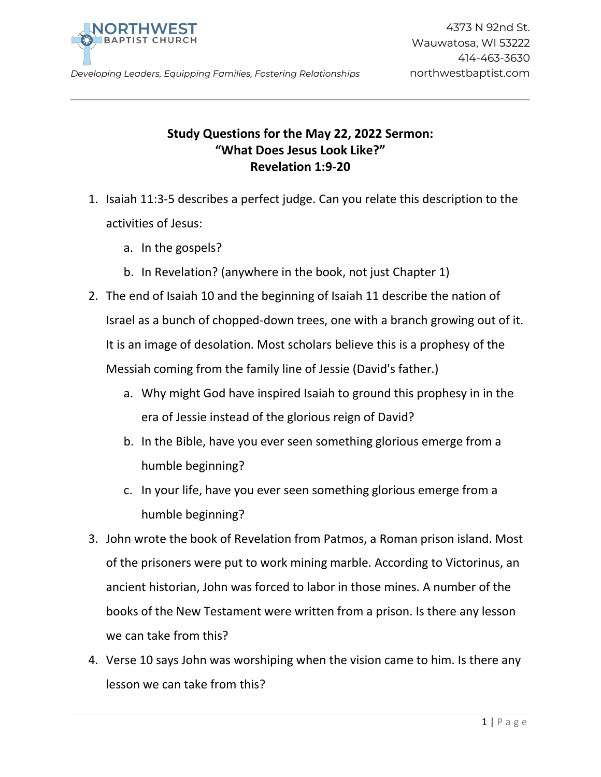

*Developing Leaders, Equipping Families, Fostering Relationships* northwestbaptist.com

## **Study Questions for the May 22, 2022 Sermon: "What Does Jesus Look Like?" Revelation 1:9-20**

- 1. Isaiah 11:3-5 describes a perfect judge. Can you relate this description to the activities of Jesus:
	- a. In the gospels?
	- b. In Revelation? (anywhere in the book, not just Chapter 1)
- 2. The end of Isaiah 10 and the beginning of Isaiah 11 describe the nation of Israel as a bunch of chopped-down trees, one with a branch growing out of it. It is an image of desolation. Most scholars believe this is a prophesy of the Messiah coming from the family line of Jessie (David's father.)
	- a. Why might God have inspired Isaiah to ground this prophesy in in the era of Jessie instead of the glorious reign of David?
	- b. In the Bible, have you ever seen something glorious emerge from a humble beginning?
	- c. In your life, have you ever seen something glorious emerge from a humble beginning?
- 3. John wrote the book of Revelation from Patmos, a Roman prison island. Most of the prisoners were put to work mining marble. According to Victorinus, an ancient historian, John was forced to labor in those mines. A number of the books of the New Testament were written from a prison. Is there any lesson we can take from this?
- 4. Verse 10 says John was worshiping when the vision came to him. Is there any lesson we can take from this?